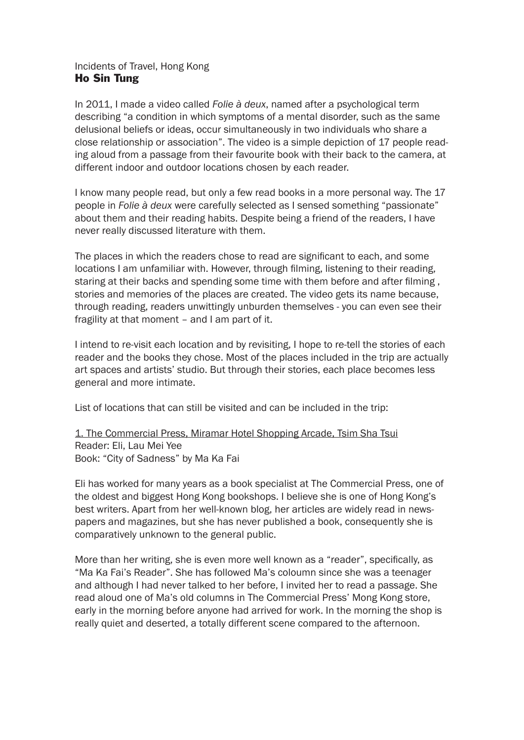## Incidents of Travel, Hong Kong Ho Sin Tung

In 2011, I made a video called *Folie à deux*, named after a psychological term describing "a condition in which symptoms of a mental disorder, such as the same delusional beliefs or ideas, occur simultaneously in two individuals who share a close relationship or association". The video is a simple depiction of 17 people reading aloud from a passage from their favourite book with their back to the camera, at different indoor and outdoor locations chosen by each reader.

I know many people read, but only a few read books in a more personal way. The 17 people in *Folie à deux* were carefully selected as I sensed something "passionate" about them and their reading habits. Despite being a friend of the readers, I have never really discussed literature with them.

The places in which the readers chose to read are significant to each, and some locations I am unfamiliar with. However, through filming, listening to their reading, staring at their backs and spending some time with them before and after filming , stories and memories of the places are created. The video gets its name because, through reading, readers unwittingly unburden themselves - you can even see their fragility at that moment – and I am part of it.

I intend to re-visit each location and by revisiting, I hope to re-tell the stories of each reader and the books they chose. Most of the places included in the trip are actually art spaces and artists' studio. But through their stories, each place becomes less general and more intimate.

List of locations that can still be visited and can be included in the trip:

1. The Commercial Press, Miramar Hotel Shopping Arcade, Tsim Sha Tsui Reader: Eli, Lau Mei Yee Book: "City of Sadness" by Ma Ka Fai

Eli has worked for many years as a book specialist at The Commercial Press, one of the oldest and biggest Hong Kong bookshops. I believe she is one of Hong Kong's best writers. Apart from her well-known blog, her articles are widely read in newspapers and magazines, but she has never published a book, consequently she is comparatively unknown to the general public.

More than her writing, she is even more well known as a "reader", specifically, as "Ma Ka Fai's Reader". She has followed Ma's coloumn since she was a teenager and although I had never talked to her before, I invited her to read a passage. She read aloud one of Ma's old columns in The Commercial Press' Mong Kong store, early in the morning before anyone had arrived for work. In the morning the shop is really quiet and deserted, a totally different scene compared to the afternoon.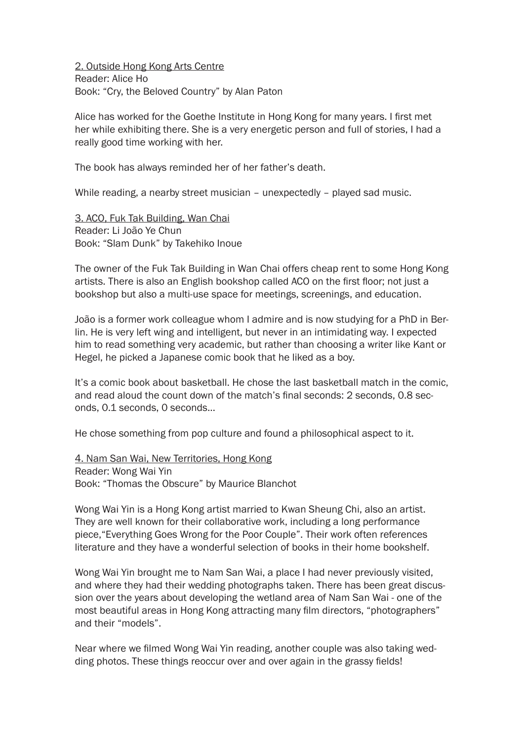2. Outside Hong Kong Arts Centre Reader: Alice Ho Book: "Cry, the Beloved Country" by Alan Paton

Alice has worked for the Goethe Institute in Hong Kong for many years. I first met her while exhibiting there. She is a very energetic person and full of stories, I had a really good time working with her.

The book has always reminded her of her father's death.

While reading, a nearby street musician – unexpectedly – played sad music.

3. ACO, Fuk Tak Building, Wan Chai Reader: Li João Ye Chun Book: "Slam Dunk" by Takehiko Inoue

The owner of the Fuk Tak Building in Wan Chai offers cheap rent to some Hong Kong artists. There is also an English bookshop called ACO on the first floor; not just a bookshop but also a multi-use space for meetings, screenings, and education.

João is a former work colleague whom I admire and is now studying for a PhD in Berlin. He is very left wing and intelligent, but never in an intimidating way. I expected him to read something very academic, but rather than choosing a writer like Kant or Hegel, he picked a Japanese comic book that he liked as a boy.

It's a comic book about basketball. He chose the last basketball match in the comic, and read aloud the count down of the match's final seconds: 2 seconds, 0.8 seconds, 0.1 seconds, 0 seconds…

He chose something from pop culture and found a philosophical aspect to it.

4. Nam San Wai, New Territories, Hong Kong Reader: Wong Wai Yin Book: "Thomas the Obscure" by Maurice Blanchot

Wong Wai Yin is a Hong Kong artist married to Kwan Sheung Chi, also an artist. They are well known for their collaborative work, including a long performance piece,"Everything Goes Wrong for the Poor Couple". Their work often references literature and they have a wonderful selection of books in their home bookshelf.

Wong Wai Yin brought me to Nam San Wai, a place I had never previously visited, and where they had their wedding photographs taken. There has been great discussion over the years about developing the wetland area of Nam San Wai - one of the most beautiful areas in Hong Kong attracting many film directors, "photographers" and their "models".

Near where we filmed Wong Wai Yin reading, another couple was also taking wedding photos. These things reoccur over and over again in the grassy fields!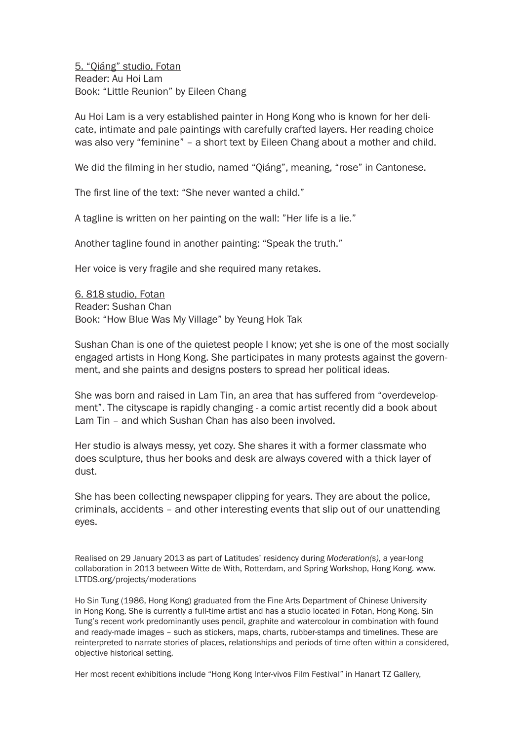5. "Qiáng" studio, Fotan Reader: Au Hoi Lam Book: "Little Reunion" by Eileen Chang

Au Hoi Lam is a very established painter in Hong Kong who is known for her delicate, intimate and pale paintings with carefully crafted layers. Her reading choice was also very "feminine" – a short text by Eileen Chang about a mother and child.

We did the filming in her studio, named "Qiáng", meaning, "rose" in Cantonese.

The first line of the text: "She never wanted a child."

A tagline is written on her painting on the wall: "Her life is a lie."

Another tagline found in another painting: "Speak the truth."

Her voice is very fragile and she required many retakes.

6. 818 studio, Fotan Reader: Sushan Chan Book: "How Blue Was My Village" by Yeung Hok Tak

Sushan Chan is one of the quietest people I know; yet she is one of the most socially engaged artists in Hong Kong. She participates in many protests against the government, and she paints and designs posters to spread her political ideas.

She was born and raised in Lam Tin, an area that has suffered from "overdevelopment". The cityscape is rapidly changing - a comic artist recently did a book about Lam Tin – and which Sushan Chan has also been involved.

Her studio is always messy, yet cozy. She shares it with a former classmate who does sculpture, thus her books and desk are always covered with a thick layer of dust.

She has been collecting newspaper clipping for years. They are about the police, criminals, accidents – and other interesting events that slip out of our unattending eyes.

Realised on 29 January 2013 as part of Latitudes' residency during *Moderation(s)*, a year-long collaboration in 2013 between Witte de With, Rotterdam, and Spring Workshop, Hong Kong. www. LTTDS.org/projects/moderations

Ho Sin Tung (1986, Hong Kong) graduated from the Fine Arts Department of Chinese University in Hong Kong. She is currently a full-time artist and has a studio located in Fotan, Hong Kong. Sin Tung's recent work predominantly uses pencil, graphite and watercolour in combination with found and ready-made images – such as stickers, maps, charts, rubber-stamps and timelines. These are reinterpreted to narrate stories of places, relationships and periods of time often within a considered, objective historical setting.

Her most recent exhibitions include "Hong Kong Inter-vivos Film Festival" in Hanart TZ Gallery,